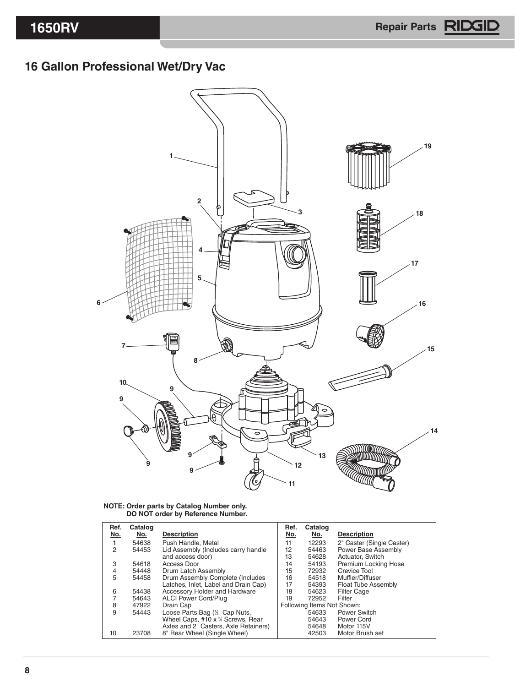## **Gallon Professional Wet/Dry Vac**



## **NOTE: Order parts by Catalog Number only. DO NOT order by Reference Number.**

| Ref.<br>No. | Catalog<br>No. | <b>Description</b>                    | Ref.<br>No.                | Catalog<br>No. | <b>Description</b>         |
|-------------|----------------|---------------------------------------|----------------------------|----------------|----------------------------|
|             | 54638          | Push Handle, Metal                    | 11                         | 12293          | 2" Caster (Single Caster)  |
| 2           | 54453          | Lid Assembly (Includes carry handle   | 12                         | 54463          | Power Base Assembly        |
|             |                | and access door)                      | 13                         | 54628          | Actuator, Switch           |
| 3           | 54618          | Access Door                           | 14                         | 54193          | Premium Locking Hose       |
| 4           | 54448          | Drum Latch Assembly                   | 15                         | 72932          | Crevice Tool               |
| 5           | 54458          | Drum Assembly Complete (Includes      | 16                         | 54518          | Muffler/Diffuser           |
|             |                | Latches, Inlet, Label and Drain Cap)  | 17                         | 54393          | <b>Float Tube Assembly</b> |
| 6           | 54438          | Accessory Holder and Hardware         | 18                         | 54623          | <b>Filter Cage</b>         |
|             | 54643          | <b>ALCI Power Cord/Plug</b>           | 19                         | 72952          | Filter                     |
| 8           | 47922          | Drain Cap                             | Following Items Not Shown: |                |                            |
| 9           | 54443          | Loose Parts Bag (½" Cap Nuts,         |                            | 54633          | Power Switch               |
|             |                | Wheel Caps, #10 x % Screws, Rear      |                            | 54643          | Power Cord                 |
|             |                | Axles and 2" Casters, Axle Retainers) |                            | 54648          | Motor 115V                 |
| 10          | 23708          | 8" Rear Wheel (Single Wheel)          |                            | 42503          | Motor Brush set            |